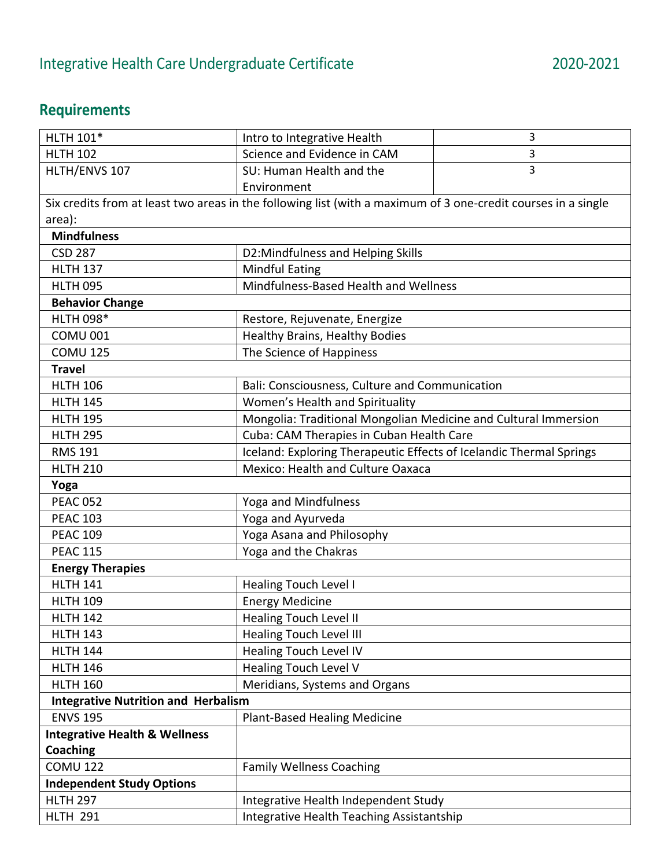## **Requirements**

| HLTH 101*                                                                                                     | Intro to Integrative Health                                         | 3 |
|---------------------------------------------------------------------------------------------------------------|---------------------------------------------------------------------|---|
| <b>HLTH 102</b>                                                                                               | Science and Evidence in CAM                                         | 3 |
| HLTH/ENVS 107                                                                                                 | SU: Human Health and the                                            | 3 |
|                                                                                                               | Environment                                                         |   |
| Six credits from at least two areas in the following list (with a maximum of 3 one-credit courses in a single |                                                                     |   |
| area):                                                                                                        |                                                                     |   |
| <b>Mindfulness</b>                                                                                            |                                                                     |   |
| <b>CSD 287</b>                                                                                                | D2:Mindfulness and Helping Skills                                   |   |
| <b>HLTH 137</b>                                                                                               | <b>Mindful Eating</b>                                               |   |
| <b>HLTH 095</b>                                                                                               | Mindfulness-Based Health and Wellness                               |   |
| <b>Behavior Change</b>                                                                                        |                                                                     |   |
| <b>HLTH 098*</b>                                                                                              | Restore, Rejuvenate, Energize                                       |   |
| <b>COMU 001</b>                                                                                               | Healthy Brains, Healthy Bodies                                      |   |
| <b>COMU 125</b>                                                                                               | The Science of Happiness                                            |   |
| <b>Travel</b>                                                                                                 |                                                                     |   |
| <b>HLTH 106</b>                                                                                               | Bali: Consciousness, Culture and Communication                      |   |
| <b>HLTH 145</b>                                                                                               | Women's Health and Spirituality                                     |   |
| <b>HLTH 195</b>                                                                                               | Mongolia: Traditional Mongolian Medicine and Cultural Immersion     |   |
| <b>HLTH 295</b>                                                                                               | Cuba: CAM Therapies in Cuban Health Care                            |   |
| <b>RMS 191</b>                                                                                                | Iceland: Exploring Therapeutic Effects of Icelandic Thermal Springs |   |
| <b>HLTH 210</b>                                                                                               | Mexico: Health and Culture Oaxaca                                   |   |
| Yoga                                                                                                          |                                                                     |   |
| <b>PEAC 052</b>                                                                                               | Yoga and Mindfulness                                                |   |
| <b>PEAC 103</b>                                                                                               | Yoga and Ayurveda                                                   |   |
| <b>PEAC 109</b>                                                                                               | Yoga Asana and Philosophy                                           |   |
| <b>PEAC 115</b>                                                                                               | Yoga and the Chakras                                                |   |
| <b>Energy Therapies</b>                                                                                       |                                                                     |   |
| <b>HLTH 141</b>                                                                                               | <b>Healing Touch Level I</b>                                        |   |
| <b>HLTH 109</b>                                                                                               | <b>Energy Medicine</b>                                              |   |
| <b>HLTH 142</b>                                                                                               | <b>Healing Touch Level II</b>                                       |   |
| <b>HLTH 143</b>                                                                                               | <b>Healing Touch Level III</b>                                      |   |
| <b>HLTH 144</b>                                                                                               | <b>Healing Touch Level IV</b>                                       |   |
| <b>HLTH 146</b>                                                                                               | Healing Touch Level V                                               |   |
| <b>HLTH 160</b>                                                                                               | Meridians, Systems and Organs                                       |   |
| <b>Integrative Nutrition and Herbalism</b>                                                                    |                                                                     |   |
| <b>ENVS 195</b>                                                                                               | <b>Plant-Based Healing Medicine</b>                                 |   |
| <b>Integrative Health &amp; Wellness</b>                                                                      |                                                                     |   |
| <b>Coaching</b>                                                                                               |                                                                     |   |
| <b>COMU 122</b>                                                                                               | <b>Family Wellness Coaching</b>                                     |   |
| <b>Independent Study Options</b>                                                                              |                                                                     |   |
| <b>HLTH 297</b>                                                                                               | Integrative Health Independent Study                                |   |
| <b>HLTH 291</b>                                                                                               | Integrative Health Teaching Assistantship                           |   |